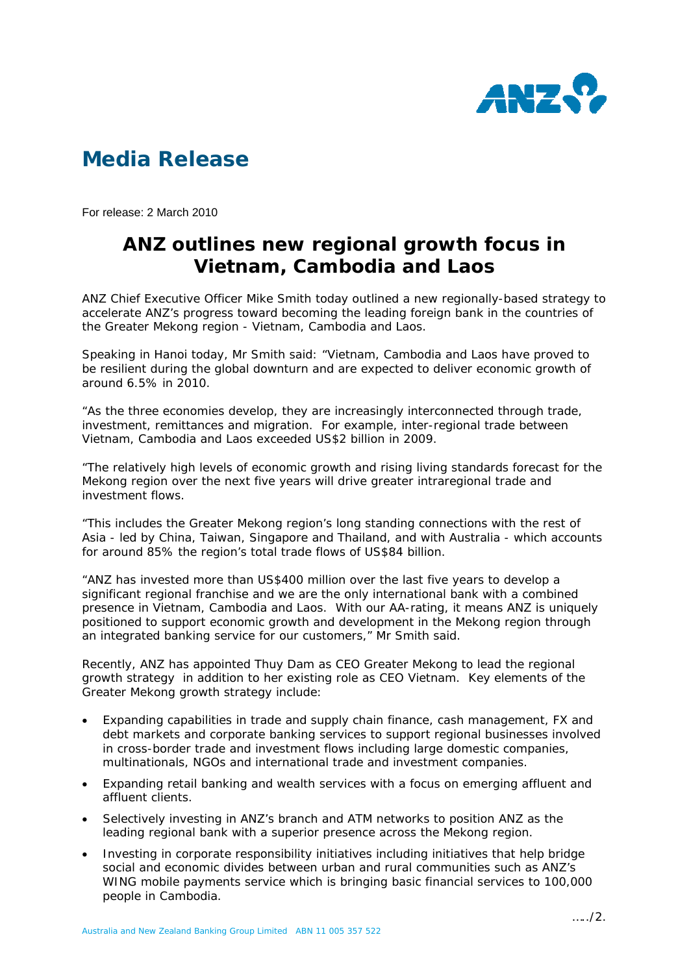

## **Media Release**

For release: 2 March 2010

## **ANZ outlines new regional growth focus in Vietnam, Cambodia and Laos**

ANZ Chief Executive Officer Mike Smith today outlined a new regionally-based strategy to accelerate ANZ's progress toward becoming the leading foreign bank in the countries of the Greater Mekong region - Vietnam, Cambodia and Laos.

Speaking in Hanoi today, Mr Smith said: "Vietnam, Cambodia and Laos have proved to be resilient during the global downturn and are expected to deliver economic growth of around 6.5% in 2010.

"As the three economies develop, they are increasingly interconnected through trade, investment, remittances and migration. For example, inter-regional trade between Vietnam, Cambodia and Laos exceeded US\$2 billion in 2009.

"The relatively high levels of economic growth and rising living standards forecast for the Mekong region over the next five years will drive greater intraregional trade and investment flows.

"This includes the Greater Mekong region's long standing connections with the rest of Asia - led by China, Taiwan, Singapore and Thailand, and with Australia - which accounts for around 85% the region's total trade flows of US\$84 billion.

"ANZ has invested more than US\$400 million over the last five years to develop a significant regional franchise and we are the only international bank with a combined presence in Vietnam, Cambodia and Laos. With our AA-rating, it means ANZ is uniquely positioned to support economic growth and development in the Mekong region through an integrated banking service for our customers," Mr Smith said.

Recently, ANZ has appointed Thuy Dam as CEO Greater Mekong to lead the regional growth strategy in addition to her existing role as CEO Vietnam. Key elements of the Greater Mekong growth strategy include:

- Expanding capabilities in trade and supply chain finance, cash management, FX and debt markets and corporate banking services to support regional businesses involved in cross-border trade and investment flows including large domestic companies, multinationals, NGOs and international trade and investment companies.
- Expanding retail banking and wealth services with a focus on emerging affluent and affluent clients.
- Selectively investing in ANZ's branch and ATM networks to position ANZ as the leading regional bank with a superior presence across the Mekong region.
- Investing in corporate responsibility initiatives including initiatives that help bridge social and economic divides between urban and rural communities such as ANZ's WING mobile payments service which is bringing basic financial services to 100,000 people in Cambodia.